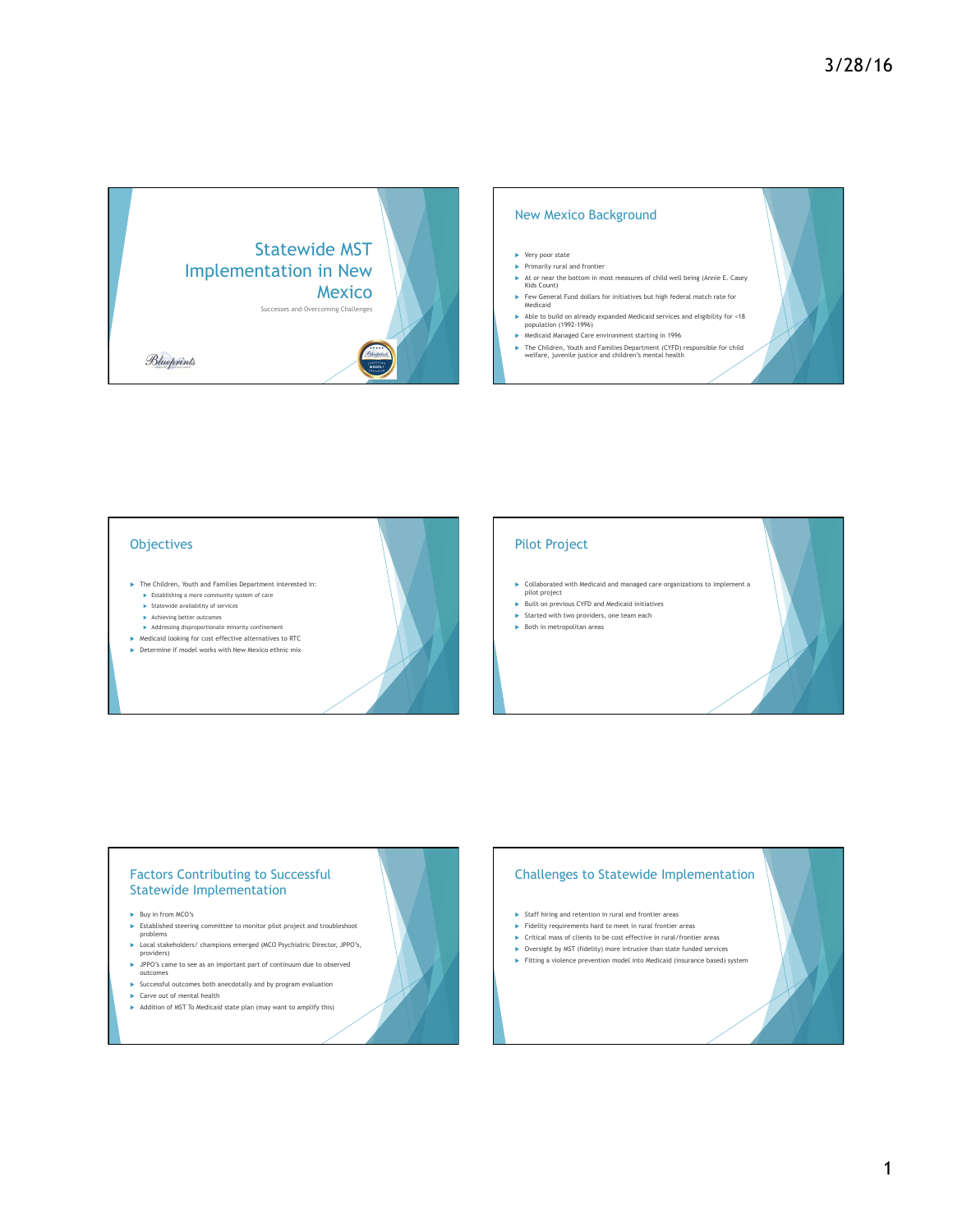

# New Mexico Background

- $\blacktriangleright$  Very poor state  $\blacktriangleright$  Primarily rural and frontier
- ► At or near the bottom in most measures of child well being (Annie E. Casey Kids Count)
- u Few General Fund dollars for initiatives but high federal match rate for Medicaid
- Able to build on already expanded Medicaid services and eligibility for <18 population (1992-1996)
- $\blacktriangleright$  Medicaid Managed Care environment starting in 1996
- ▶ The Children, Youth and Families Department (CYFD) responsible for child welfare, juvenile justice and children's mental health

- **Objectives**
- ▶ The Children, Youth and Families Department interested in:
	- $\blacktriangleright$  Establishing a more community system of care u Statewide availability of services
	- $\blacktriangleright \quad$
	- $\blacktriangleright$  Addressing disproportionate minority confinement
- $\blacktriangleright$  Medicaid looking for cost effective alternatives to RTC
- $\blacktriangleright$  Determine if model works with New Mexico ethnic mix

### Pilot Project

- $\blacktriangleright$  Collaborated with Medicaid and managed care organizations to implement a pilot project
- $\blacktriangleright$  Built on previous CYFD and Medicaid initiatives
- $\blacktriangleright$  Started with two providers, one team each  $\blacktriangleright$  Both in metropolitan areas
- 

### Factors Contributing to Successful Statewide Implementation

- $\blacktriangleright$  Buy in from MCO's
- Established steering committee to monitor pilot project and troubleshoot problems
- 
- ▶ Local stakeholders/ champions emerged (MCO Psychiatric Director, JPPO's, providers)
- ▶ JPPO's came to see as an important part of continuum due to observed outcomes
- $\blacktriangleright$  Successful outcomes both anecdotally and by program evaluation
- $\blacktriangleright$  Carve out of mental health
- Addition of MST To Medicaid state plan (may want to amplify this)

# Challenges to Statewide Implementation

- $\blacktriangleright$  Staff hiring and retention in rural and frontier areas
- $\blacktriangleright$  Fidelity requirements hard to meet in rural frontier areas
- $\blacktriangleright$  Critical mass of clients to be cost effective in rural/frontier areas  $\triangleright$  Oversight by MST (fidelity) more intrusive than state funded services
- $\blacktriangleright$  Fitting a violence prevention model into Medicaid (insurance based) system